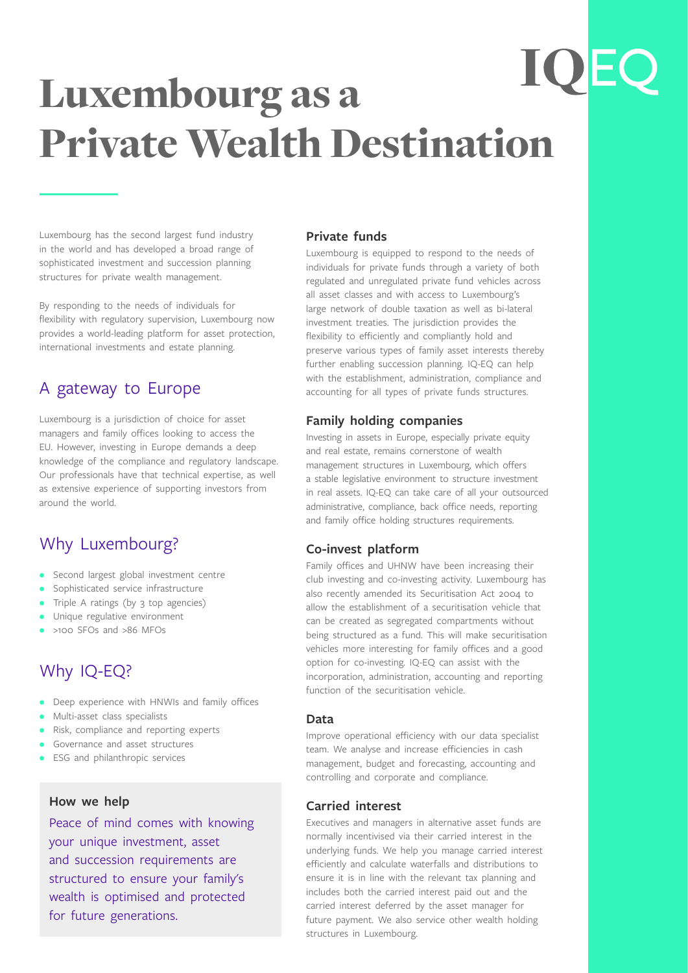# **IOE** Luxembourg as a Private Wealth Destination

Luxembourg has the second largest fund industry in the world and has developed a broad range of sophisticated investment and succession planning structures for private wealth management.

By responding to the needs of individuals for flexibility with regulatory supervision, Luxembourg now provides a world-leading platform for asset protection, international investments and estate planning.

### A gateway to Europe

Luxembourg is a jurisdiction of choice for asset managers and family offices looking to access the EU. However, investing in Europe demands a deep knowledge of the compliance and regulatory landscape. Our professionals have that technical expertise, as well as extensive experience of supporting investors from around the world.

### Why Luxembourg?

- Second largest global investment centre
- Sophisticated service infrastructure
- Triple A ratings (by 3 top agencies)
- Unique regulative environment
- >100 SFOs and >86 MFOs

## Why IQ-EQ?

- Deep experience with HNWIs and family offices
- Multi-asset class specialists
- Risk, compliance and reporting experts
- Governance and asset structures
- ESG and philanthropic services

#### **How we help**

Peace of mind comes with knowing your unique investment, asset and succession requirements are structured to ensure your family's wealth is optimised and protected for future generations.

#### **Private funds**

Luxembourg is equipped to respond to the needs of individuals for private funds through a variety of both regulated and unregulated private fund vehicles across all asset classes and with access to Luxembourg's large network of double taxation as well as bi-lateral investment treaties. The jurisdiction provides the flexibility to efficiently and compliantly hold and preserve various types of family asset interests thereby further enabling succession planning. IQ-EQ can help with the establishment, administration, compliance and accounting for all types of private funds structures.

#### **Family holding companies**

Investing in assets in Europe, especially private equity and real estate, remains cornerstone of wealth management structures in Luxembourg, which offers a stable legislative environment to structure investment in real assets. IQ-EQ can take care of all your outsourced administrative, compliance, back office needs, reporting and family office holding structures requirements.

### **Co-invest platform**

Family offices and UHNW have been increasing their club investing and co-investing activity. Luxembourg has also recently amended its Securitisation Act 2004 to allow the establishment of a securitisation vehicle that can be created as segregated compartments without being structured as a fund. This will make securitisation vehicles more interesting for family offices and a good option for co-investing. IQ-EQ can assist with the incorporation, administration, accounting and reporting function of the securitisation vehicle.

#### **Data**

Improve operational efficiency with our data specialist team. We analyse and increase efficiencies in cash management, budget and forecasting, accounting and controlling and corporate and compliance.

#### **Carried interest**

Executives and managers in alternative asset funds are normally incentivised via their carried interest in the underlying funds. We help you manage carried interest efficiently and calculate waterfalls and distributions to ensure it is in line with the relevant tax planning and includes both the carried interest paid out and the carried interest deferred by the asset manager for future payment. We also service other wealth holding structures in Luxembourg.